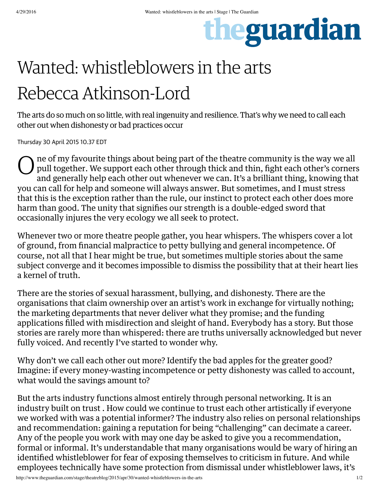## theguardian

## Wanted: whistleblowers in the arts Rebecca [Atkinson-Lord](http://www.theguardian.com/profile/rebecca-atkinson-lord)

The arts do so much on so little, with real ingenuity and resilience. That's why we need to call each other out when dishonesty or bad practices occur

Thursday 30 April 2015 10.37 EDT

 $O_{\frac{1}{2}}^{r}$ ne of my favourite things about being part of the theatre [community](http://www.devotedanddisgruntled.com/about/) is the way we all pull together. We support each other through thick and thin, fight each other's corners and generally help each other out whenever we can. It's a brilliant thing, knowing that you can call for help and someone will always answer. But sometimes, and I must stress that this is the exception rather than the rule, our instinct to protect each other does more harm than good. The unity that signifies our strength is a double-edged sword that occasionally injures the very ecology we all seek to protect.

Whenever two or more theatre people gather, you hear whispers. The whispers cover a lot of ground, from financial malpractice to petty bullying and general incompetence. Of course, not all that I hear might be true, but sometimes multiple stories about the same subject converge and it becomes impossible to dismiss the possibility that at their heart lies a kernel of truth.

There are the stories of sexual harassment, [bullying,](http://www.theguardian.com/stage/theatreblog/2013/may/15/bullying-in-the-arts-theatre) and dishonesty. There are the organisations that claim ownership over an artist's work in exchange for virtually nothing; the marketing departments that never deliver what they promise; and the funding applications filled with misdirection and sleight of hand. Everybody has a story. But those stories are rarely more than whispered: there are truths universally acknowledged but never fully voiced. And recently I've started to wonder why.

Why don't we call each other out more? Identify the bad apples for the greater good? Imagine: if every money-wasting incompetence or petty dishonesty was called to account, what would the savings amount to?

But the arts industry functions almost entirely through personal networking. It is an [industry](http://www.theguardian.com/stage/theatreblog/2011/jun/30/stronger-together-collaboration-theatre) built on trust . How could we continue to trust each other artistically if everyone we worked with was a potential informer? The industry also relies on personal relationships and recommendation: gaining a reputation for being "challenging" can decimate a career. Any of the people you work with may one day be asked to give you a recommendation, formal or informal. It's understandable that many organisations would be wary of hiring an identified whistleblower for fear of exposing themselves to criticism in future. And while employees technically have some protection from dismissal under whistleblower laws, it's